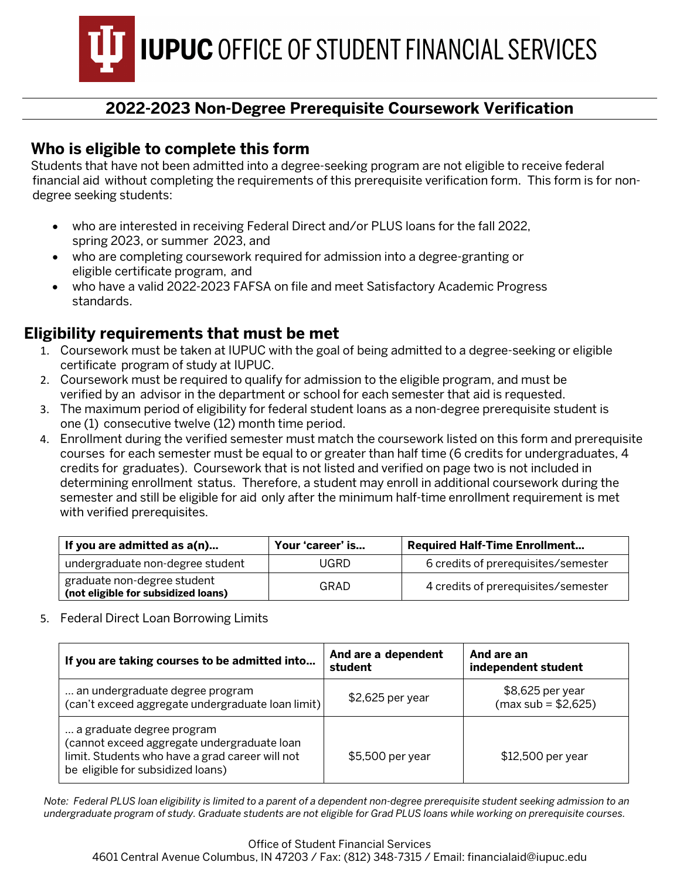**IUPUC OFFICE OF STUDENT FINANCIAL SERVICES** 

# **2022-2023 Non-Degree Prerequisite Coursework Verification**

## **Who is eligible to complete this form**

Students that have not been admitted into a degree-seeking program are not eligible to receive federal financial aid without completing the requirements of this prerequisite verification form. This form is for nondegree seeking students:

- who are interested in receiving Federal Direct and/or PLUS loans for the fall 2022, spring 2023, or summer 2023, and
- who are completing coursework required for admission into a degree-granting or eligible certificate program, and
- who have a valid 2022-2023 FAFSA on file and meet Satisfactory Academic Progress standards.

## **Eligibility requirements that must be met**

- 1. Coursework must be taken at IUPUC with the goal of being admitted to a degree-seeking or eligible certificate program of study at IUPUC.
- 2. Coursework must be required to qualify for admission to the eligible program, and must be verified by an advisor in the department or school for each semester that aid is requested.
- 3. The maximum period of eligibility for federal student loans as a non-degree prerequisite student is one (1) consecutive twelve (12) month time period.
- 4. Enrollment during the verified semester must match the coursework listed on this form and prerequisite courses for each semester must be equal to or greater than half time (6 credits for undergraduates, 4 credits for graduates). Coursework that is not listed and verified on page two is not included in determining enrollment status. Therefore, a student may enroll in additional coursework during the semester and still be eligible for aid only after the minimum half-time enrollment requirement is met with verified prerequisites.

| If you are admitted as a(n)                                        | Your 'career' is | <b>Required Half-Time Enrollment</b> |
|--------------------------------------------------------------------|------------------|--------------------------------------|
| undergraduate non-degree student                                   | UGRD             | 6 credits of prerequisites/semester  |
| graduate non-degree student<br>(not eligible for subsidized loans) | GRAD             | 4 credits of prerequisites/semester  |

5. Federal Direct Loan Borrowing Limits

| If you are taking courses to be admitted into                                                                                                                    | And are a dependent<br>student | And are an<br>independent student        |
|------------------------------------------------------------------------------------------------------------------------------------------------------------------|--------------------------------|------------------------------------------|
| an undergraduate degree program<br>(can't exceed aggregate undergraduate loan limit)                                                                             | \$2,625 per year               | \$8,625 per year<br>$(max sub = $2,625)$ |
| a graduate degree program<br>(cannot exceed aggregate undergraduate loan<br>limit. Students who have a grad career will not<br>be eligible for subsidized loans) | \$5,500 per year               | \$12,500 per year                        |

*Note: Federal PLUS loan eligibility is limited to a parent of a dependent non-degree prerequisite student seeking admission to an undergraduate program of study. Graduate students are not eligible for Grad PLUS loans while working on prerequisite courses.*